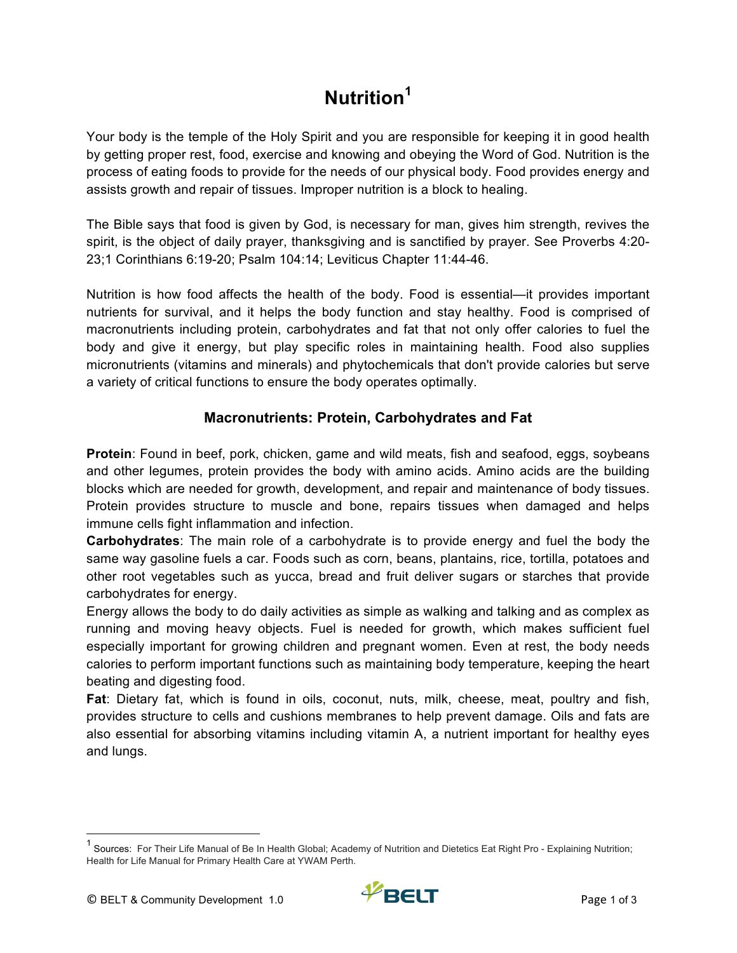# **Nutrition<sup>1</sup>**

Your body is the temple of the Holy Spirit and you are responsible for keeping it in good health by getting proper rest, food, exercise and knowing and obeying the Word of God. Nutrition is the process of eating foods to provide for the needs of our physical body. Food provides energy and assists growth and repair of tissues. Improper nutrition is a block to healing.

The Bible says that food is given by God, is necessary for man, gives him strength, revives the spirit, is the object of daily prayer, thanksgiving and is sanctified by prayer. See Proverbs 4:20- 23;1 Corinthians 6:19-20; Psalm 104:14; Leviticus Chapter 11:44-46.

Nutrition is how food affects the health of the body. Food is essential—it provides important nutrients for survival, and it helps the body function and stay healthy. Food is comprised of macronutrients including protein, carbohydrates and fat that not only offer calories to fuel the body and give it energy, but play specific roles in maintaining health. Food also supplies micronutrients (vitamins and minerals) and phytochemicals that don't provide calories but serve a variety of critical functions to ensure the body operates optimally.

## **Macronutrients: Protein, Carbohydrates and Fat**

**Protein**: Found in beef, pork, chicken, game and wild meats, fish and seafood, eggs, soybeans and other legumes, protein provides the body with amino acids. Amino acids are the building blocks which are needed for growth, development, and repair and maintenance of body tissues. Protein provides structure to muscle and bone, repairs tissues when damaged and helps immune cells fight inflammation and infection.

**Carbohydrates**: The main role of a carbohydrate is to provide energy and fuel the body the same way gasoline fuels a car. Foods such as corn, beans, plantains, rice, tortilla, potatoes and other root vegetables such as yucca, bread and fruit deliver sugars or starches that provide carbohydrates for energy.

Energy allows the body to do daily activities as simple as walking and talking and as complex as running and moving heavy objects. Fuel is needed for growth, which makes sufficient fuel especially important for growing children and pregnant women. Even at rest, the body needs calories to perform important functions such as maintaining body temperature, keeping the heart beating and digesting food.

**Fat**: Dietary fat, which is found in oils, coconut, nuts, milk, cheese, meat, poultry and fish, provides structure to cells and cushions membranes to help prevent damage. Oils and fats are also essential for absorbing vitamins including vitamin A, a nutrient important for healthy eyes and lungs.

<sup>&</sup>lt;sup>1</sup> Sources: For Their Life Manual of Be In Health Global; Academy of Nutrition and Dietetics Eat Right Pro - Explaining Nutrition; Health for Life Manual for Primary Health Care at YWAM Perth.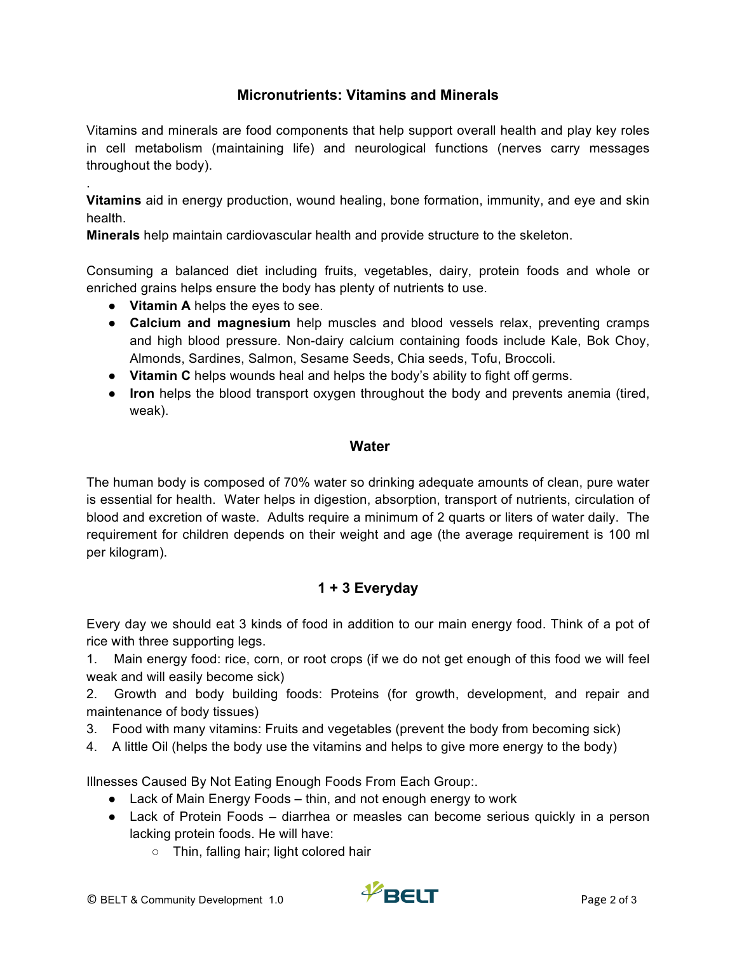### **Micronutrients: Vitamins and Minerals**

Vitamins and minerals are food components that help support overall health and play key roles in cell metabolism (maintaining life) and neurological functions (nerves carry messages throughout the body).

**Vitamins** aid in energy production, wound healing, bone formation, immunity, and eye and skin health.

**Minerals** help maintain cardiovascular health and provide structure to the skeleton.

Consuming a balanced diet including fruits, vegetables, dairy, protein foods and whole or enriched grains helps ensure the body has plenty of nutrients to use.

● **Vitamin A** helps the eyes to see.

.

- **Calcium and magnesium** help muscles and blood vessels relax, preventing cramps and high blood pressure. Non-dairy calcium containing foods include Kale, Bok Choy, Almonds, Sardines, Salmon, Sesame Seeds, Chia seeds, Tofu, Broccoli.
- **Vitamin C** helps wounds heal and helps the body's ability to fight off germs.
- **Iron** helps the blood transport oxygen throughout the body and prevents anemia (tired, weak).

#### **Water**

The human body is composed of 70% water so drinking adequate amounts of clean, pure water is essential for health. Water helps in digestion, absorption, transport of nutrients, circulation of blood and excretion of waste. Adults require a minimum of 2 quarts or liters of water daily. The requirement for children depends on their weight and age (the average requirement is 100 ml per kilogram).

## **1 + 3 Everyday**

Every day we should eat 3 kinds of food in addition to our main energy food. Think of a pot of rice with three supporting legs.

1. Main energy food: rice, corn, or root crops (if we do not get enough of this food we will feel weak and will easily become sick)

2. Growth and body building foods: Proteins (for growth, development, and repair and maintenance of body tissues)

- 3. Food with many vitamins: Fruits and vegetables (prevent the body from becoming sick)
- 4. A little Oil (helps the body use the vitamins and helps to give more energy to the body)

Illnesses Caused By Not Eating Enough Foods From Each Group:.

- Lack of Main Energy Foods thin, and not enough energy to work
- Lack of Protein Foods diarrhea or measles can become serious quickly in a person lacking protein foods. He will have:
	- Thin, falling hair; light colored hair